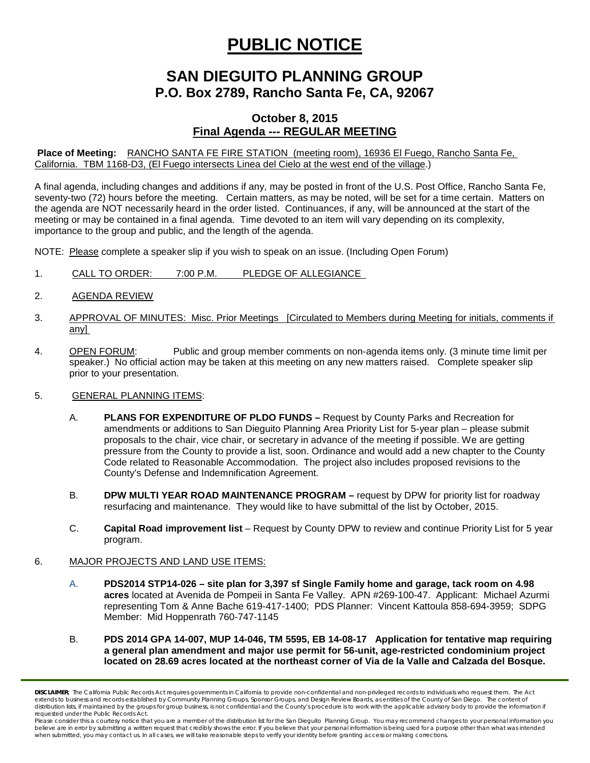# **PUBLIC NOTICE**

# **SAN DIEGUITO PLANNING GROUP P.O. Box 2789, Rancho Santa Fe, CA, 92067**

## **October 8, 2015 Final Agenda --- REGULAR MEETING**

**Place of Meeting:** RANCHO SANTA FE FIRE STATION (meeting room), 16936 El Fuego, Rancho Santa Fe, California. TBM 1168-D3, (El Fuego intersects Linea del Cielo at the west end of the village.)

A final agenda, including changes and additions if any, may be posted in front of the U.S. Post Office, Rancho Santa Fe, seventy-two (72) hours before the meeting. Certain matters, as may be noted, will be set for a time certain. Matters on the agenda are NOT necessarily heard in the order listed. Continuances, if any, will be announced at the start of the meeting or may be contained in a final agenda. Time devoted to an item will vary depending on its complexity, importance to the group and public, and the length of the agenda.

NOTE: Please complete a speaker slip if you wish to speak on an issue. (Including Open Forum)

- 1. CALL TO ORDER: 7:00 P.M. PLEDGE OF ALLEGIANCE
- 2. AGENDA REVIEW
- 3. APPROVAL OF MINUTES: Misc. Prior Meetings [Circulated to Members during Meeting for initials, comments if any]
- 4. OPEN FORUM: Public and group member comments on non-agenda items only. (3 minute time limit per speaker.) No official action may be taken at this meeting on any new matters raised. Complete speaker slip prior to your presentation.
- 5. GENERAL PLANNING ITEMS:
	- A. **PLANS FOR EXPENDITURE OF PLDO FUNDS –** Request by County Parks and Recreation for amendments or additions to San Dieguito Planning Area Priority List for 5-year plan – please submit proposals to the chair, vice chair, or secretary in advance of the meeting if possible. We are getting pressure from the County to provide a list, soon. Ordinance and would add a new chapter to the County Code related to Reasonable Accommodation. The project also includes proposed revisions to the County's Defense and Indemnification Agreement.
	- B. **DPW MULTI YEAR ROAD MAINTENANCE PROGRAM** request by DPW for priority list for roadway resurfacing and maintenance. They would like to have submittal of the list by October, 2015.
	- C. **Capital Road improvement list**  Request by County DPW to review and continue Priority List for 5 year program.

### 6. MAJOR PROJECTS AND LAND USE ITEMS:

- A. **PDS2014 STP14-026 – site plan for 3,397 sf Single Family home and garage, tack room on 4.98 acres** located at Avenida de Pompeii in Santa Fe Valley. APN #269-100-47. Applicant: Michael Azurmi representing Tom & Anne Bache 619-417-1400; PDS Planner: Vincent Kattoula 858-694-3959; SDPG Member: Mid Hoppenrath 760-747-1145
- B. **PDS 2014 GPA 14-007, MUP 14-046, TM 5595, EB 14-08-17 Application for tentative map requiring a general plan amendment and major use permit for 56-unit, age-restricted condominium project located on 28.69 acres located at the northeast corner of Via de la Valle and Calzada del Bosque.**

*DISCLAIMER; The California Public Records Act requires governments in California to provide non-confidential and non-privileged records to individuals who request them. The Act*  extends to business and records established by Community Planning Groups, Sponsor Groups, and Design Review Boards, as entities of the County of San Diego. The content of distribution lists, if maintained by the groups for group business, is not confidential and the County's procedure is to work with the applicable advisory body to provide the information if *requested under the Public Records Act.*

Please consider this a courtesy notice that you are a member of the distribution list for the San Dieguito Planning Group. You may recommend changes to your personal information you believe are in error by submitting a written request that credibly shows the error. If you believe that your personal information is being used for a purpose other than what was intended<br>when submitted, you may contact us.